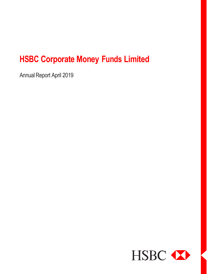Annual Report April 2019

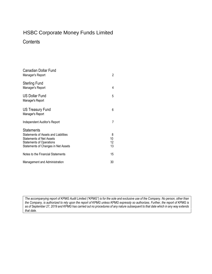### **Contents**

| <b>Canadian Dollar Fund</b><br>Manager's Report                                                                                                                        | 2                   |
|------------------------------------------------------------------------------------------------------------------------------------------------------------------------|---------------------|
| Sterling Fund<br>Manager's Report                                                                                                                                      | 4                   |
| <b>US Dollar Fund</b><br>Manager's Report                                                                                                                              | 5                   |
| US Treasury Fund<br>Manager's Report                                                                                                                                   | 6                   |
| Independent Auditor's Report                                                                                                                                           | 7                   |
| <b>Statements</b><br>Statements of Assets and Liabilities<br><b>Statements of Net Assets</b><br><b>Statements of Operations</b><br>Statements of Changes in Net Assets | 8<br>10<br>12<br>13 |
| Notes to the Financial Statements                                                                                                                                      | 15                  |
| Management and Administration                                                                                                                                          | 30                  |

*The accompanying report of KPMG Audit Limited ("KPMG") is for the sole and exclusive use of the Company. No person, other than the Company, is authorized to rely upon the report of KPMG unless KPMG expressly so authorizes. Further, the report of KPMG is as of September 27, 2019 and KPMG has carried out no procedures of any nature subsequent to that date which in any way extends that date.*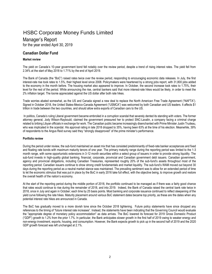### Manager's Report

for the year ended April 30, 2019

### **Canadian Dollar Fund**

### **Market review**

The yield on Canada's 10-year government bond fell notably over the review period, despite a trend of rising interest rates. The yield fell from 2.34% at the start of May 2018 to 1.71% by the end of April 2019.

The Bank of Canada (the "BoC") raised rates twice over the review period, responding to encouraging economic data releases. In July, the first interest-rate rise took rates to 1.5%, their highest level since 2008. Policymakers were heartened by a strong jobs report, with 31,800 jobs added to the economy in the month before. The housing market also appeared to improve. In October, the second increase took rates to 1.75%, their level for the rest of the period. While announcing the rise, central bankers said that more interest-rate hikes would be likely, in order to meet the 2% inflation target. The loonie appreciated against the US dollar after both rate hikes.

Trade worries abated somewhat, as the US and Canada signed a new deal to replace the North American Free Trade Agreement ("NAFTA"). Signed in October 2018, the United States-Mexico-Canada Agreement ("USMCA") was welcomed by both Canadian and US leaders. It affects \$1 trillion in trade between the two countries, and should allow extra exports of Canadian cars to the US.

In politics, Canada's ruling Liberal government became embroiled in a corruption scandal that severely dented its standing with voters. The former attorney general, Jody Wilson-Raybould, claimed the government pressured her to protect SNC-Lavalin, a company facing a criminal charge related to bribing Libyan officials in exchange for work. The Canadian public became increasingly disenchanted with Prime Minister Justin Trudeau, who was implicated in the scandal. His approval rating in late 2018 dropped to 35%, having been 63% at the time of his election. Meanwhile, 39% of respondents to the Angus Reid survey said they "strongly disapproved" of the prime minister's performance.

### **Portfolio review**

During the period under review, the sub-fund maintained an asset mix that has consisted predominantly of fixed-rate banker acceptances and fixed and floating rate bonds with maximum maturity tenors of one year. The primary maturity range during the reporting period was limited to the 1-3 month range, with some opportunistic extensions in 3-12 month securities within a select group of issuers in order to provide strong liquidity. The sub-fund invests in high-quality global banking, financial, corporate, provincial and Canadian government debt issuers. Canadian government, agency and provincial obligations, including Canadian Treasuries, represented roughly 20% of the sub-fund's assets throughout most of the reporting period. Canadian issuers continue to show strong credit fundamentals and market liquidity. The sub-fund's WAM moved out beyond 30 days during the reporting period as a neutral market stance was maintained. The prevailing sentiment was to allow for an extended period of time to let the economic stimulus that was put in place by the BoC in early 2016 take full effect, with the objective being, to improve growth and restore the overall health of the nation's economy.

At the start of the reporting period during the middle portion of 2018, the portfolio continued to be managed as if there was a fairly good chance that rates would continue to rise during the remainder of 2018, and into 2019. Indeed, the Bank of Canada raised the central bank rate twice in 2018, once in July and again in October; each time by 25 basis points. Most banking and corporate issuance continued to reflect steepening of the yield curve following the rate hikes. Maturity placement around various BoC statement dates became top priority, as these are the dates when any potential interest rate hikes are announced in Canada.

The BoC has gradually moved to a more dovish tone since the October 2018 tightening. Future policy statements have since dropped any references to the timing of "future interest rate increases". Instead, the statements have been indicating that the Governing Council would evaluate the "appropriate degree of monetary policy accommodation" as data arrives. The BoC lowered its forecast for 2019 Gross Domestic Product ("GDP") growth to 1.2% from the prior 1.7%. In particular, the Bank anticipates slower growth in the first half of 2019 owing to weaker energy and non-energy investment, exports, housing, and consumption. However, the Bank expects growth to pick up in the second half of 2019 and the 2020 GDP growth forecast was left unchanged at 2.1%.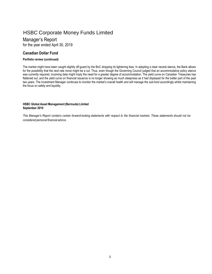### Manager's Report

for the year ended April 30, 2019

### **Canadian Dollar Fund**

### **Portfolio review (continued)**

The market might have been caught slightly off-guard by the BoC dropping its tightening bias. In adopting a clear neutral stance, the Bank allows for the possibility that the next rate move might be a cut. Thus, even though the Governing Council judged that an accommodative policy stance was currently required, incoming data might imply the need for a greater degree of accommodation. The yield curve on Canadian Treasuries has flattened out, and the yield curve on financial issuance is no longer showing as much steepness as it had displayed for the better part of the past two years. The Investment Manager continues to monitor the market's overall health and will manage the sub-fund accordingly whilst maintaining the focus on safety and liquidity.

### **HSBC Global Asset Management(Bermuda) Limited September 2019**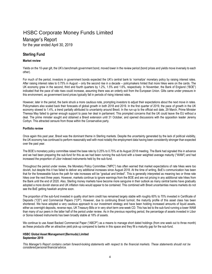### Manager's Report

for the year ended April 30, 2019

### **Sterling Fund**

### **Market review**

Yields on the 10-year gilt, the UK's benchmark government bond, moved lower in the review period (bond prices and yields move inversely to each other).

For much of the period, investors in government bonds expected the UK's central bank to 'normalize' monetary policy by raising interest rates. After raising interest rates to 0.75% in August – only the second rise in a decade – policymakers hinted that more hikes were on the cards. The UK economy grew in the second, third and fourth quarters by 1.2%, 1.5% and 1.6%, respectively. In November, the Bank of England ("BOE") indicated that the pace of rate rises could increase, assuming there was an orderly exit from the European Union. Gilts came under pressure in this environment, as government bond prices typically fall in periods of rising interest rates.

However, later in the period, the bank struck a more cautious note, prompting investors to adjust their expectations about the next move in rates. Policymakers also scaled back their forecasts of global growth in both 2018 and 2019. In the first quarter of 2019, the pace of growth in the UK economy slowed to 1.4%, a trend partially attributed to uncertainty around Brexit. In the run-up to the official exit date, 29 March, Prime Minister Theresa May failed to garner enough support to pass her deal in parliament. This prompted concerns that the UK could leave the EU without a deal. The prime minister sought and obtained a Brexit extension until 31 October, and opened discussions with the opposition leader Jeremy Corbyn. This attracted censure from those within the Conservative party.

### **Portfolio review**

Once again this past year, Brexit was the dominant theme in Sterling markets. Despite the uncertainty generated by the lack of political visibility, the UK economy has continued to perform reasonably well with most notably the employment data having been consistently stronger than expected over the past year.

The BOE's monetary policy committee raised the base rate by 0.25% to 0.75% at its August 2018 meeting. The Bank had signaled this in advance and we had been preparing the sub-fund for this as we had been running the sub-fund with a lower weighted average maturity ("WAM") and had increased the proportion of Libor indexed instruments held by the sub-fund.

Throughout the period under review, the Monetary Policy Committee ("MPC") has often warned that market expectations of rate hikes were too dovish, but despite this it has failed to deliver any additional increases since August 2018. At the time of writing, BoE's communication has been that for the foreseeable future the path for rate increases will be "gradual and limited". This is generally interpreted as meaning two or three rate hikes over the next three years. However, markets continue to ignore warnings from the BOE and are not pricing in any additional rate hikes from the Bank until the end of 2020. Also, Sterling money markets have become more sanguine in their outlook as many central banks have gradually adopted a more dovish stance and UK inflation risks would appear to be contained. This combined with Brexit uncertainties means markets do not see the BoE getting hawkish anytime soon.

The proportion of the sub-fund invested in quality short term credit has remained largely stable with roughly 60% to 70% invested in Certificate of Deposits ("CD") and Commercial Papers ("CP"). However, due to continuing Brexit turmoil, the maturity profile of this asset class has been shortened. We have adopted a very cautious approach to our investment strategy and have been holding increased amounts of liquid assets, either as overnight deposits, reverse repo, UK Treasury Bills or in very short term one-week CD. This has led to the sub-fund running a lower WAM than many of our peers in the latter half of the period under review. As in the previous reporting period, the percentage of assets invested in Libor or Sonia indexed instruments has been broadly stable at 18% of assets.

We continue to use Asset Backed Commercial Paper ("ABCP") as a means to manage short dated holdings (from one week out to three month) as these products offer an attractive yield pick-up compared to banks in this space and they fill a maturity gap for the sub-fund.

### **HSBC Global Asset Management(Bermuda) Limited September 2019**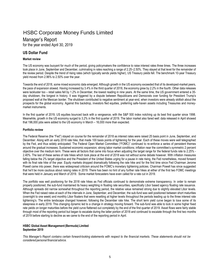### Manager's Report

for the year ended April 30, 2019

### **US Dollar Fund**

### **Market review**

The US economy was buoyant for much of the period, giving policymakers the confidence to raise interest rates three times. The three increases took place in June, September and December, culminating in rates reaching a range of 2.25–2.50%. They stayed at that level for the remainder of the review period. Despite the trend of rising rates (which typically sends yields higher), US Treasury yields fell. The benchmark 10-year Treasury yield moved from 2.96% to 2.50% over the year.

Towards the end of 2018, some mixed economic data emerged. Although growth in the US economy exceeded that of its developed-market peers, the pace of expansion slowed. Having increased by 3.4% in the third quarter of 2018, the economy grew by 2.2% in the fourth. Other data releases were lackluster too – retail sales fell by 1.2% in December, the lowest reading in nine years. At the same time, the US government entered a 35 day shutdown, the longest in history. It was triggered by a dispute between Republicans and Democrats over funding for President Trump's proposed wall at the Mexican border. The shutdown contributed to negative sentiment at year-end, when investors were already skittish about the prospects for the global economy. Against this backdrop, investors fled equities, preferring safe-haven assets including Treasuries and moneymarket instruments.

In the first quarter of 2019, US equities bounced back with a vengeance, with the S&P 500 index notching up its best first quarter since 1998. Meanwhile, growth in the US economy surged to 3.2% in the first quarter of 2019. The labor market also fared well: data released in April showed that 196,000 jobs were added to the US economy in March – 16,000 more than expected.

### **Portfolio review**

The Federal Reserve (the "Fed") stayed on course for the remainder of 2018 as interest rates were raised 25 basis point in June, September, and December. Along with an early 2018 rate hike, that made 100 basis points of tightening for the year. Each of these moves were well telegraphed by the Fed, and thus widely anticipated. The Federal Open Market Committee ("FOMC)" continued to re-enforce a series of persistent themes around the gradual increases; Sustained economic expansion; strong labor market conditions; inflation near the committee's symmetric 2 percent objective over the medium term. These were all factors that came into focus when adjusting the target range for the federal funds rate to 2.25% - 2.40%. The last of these series of rate hikes which took place at the end of 2018 was not without some debate however. With inflation measures falling below the 2% target objective and the President of the United States urging for a pause in rate rising, the Fed nonetheless, moved forward with its final rate hike of the year. Equity markets dropped dramatically following the rate hike and for the first time since Fed Chairman Jerome Powell came into power, there was widespread criticism around the FOMC's monetary tightening policies. Chairman Powell has since suggested that he'll be more cautious about raising rates in 2019. There has been no hint of any further rate hikes at either of the first two FOMC meetings that were held in January and March of 2019. Some market forecasters have even called for a rate cut in 2019.

The portfolio was well positioning for the 2018 rate hikes as Fed officials continued to demonstrate extreme transparency. In order to remain properly positioned, the sub-fund maintained its heavy weighting in floating rate securities, specifically Libor based agency floating rate issuance. Although spreads did narrow somewhat throughout the reporting period, the relative value remained strong due to slightly elevated Libor levels. When the Fed raised rates at each of the intervals in June, September, and December, the sub-fund was well positioned between short maturities (overnight to one week) and monthly Libor floaters that were resetting at higher levels throughout the periods leading up to the three interest rate tightening's. The entire landscape changed however, following the December rate hike. The short term yield curve began to lose some of its steepness in early 2019. This changing dynamic led to a change in strategy moving forward. The sub-fund was able to lock in some higher fixed rate yields on longer maturities before the yield curve flattened out completely by the end of the first quarter of 2019. Asset flows were fairly stable through most of the reporting period but began to escalate during the latter portion of 2018 and continued to escalate through the first two months of 2019 before starting to decline as we came to the end of the reporting period in April.

### **HSBC Global Asset Management(Bermuda) Limited September 2019**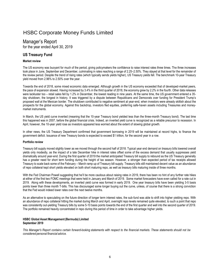### Manager's Report for the year ended April 30, 2019

### **US Treasury Fund**

### **Market review**

The US economy was buoyant for much of the period, giving policymakers the confidence to raise interest rates three times. The three increases took place in June, September and December, culminating in rates reaching a range of 2.25–2.50%. They stayed at that level for the remainder of the review period. Despite the trend of rising rates (which typically sends yields higher), US Treasury yields fell. The benchmark 10-year Treasury yield moved from 2.96% to 2.50% over the year.

Towards the end of 2018, some mixed economic data emerged. Although growth in the US economy exceeded that of developed-market peers, the pace of expansion slowed. Having increased by 3.4% in the third quarter of 2018, the economy grew by 2.2% in the fourth. Other data releases were lackluster too – retail sales fell by 1.2% in December, the lowest reading in nine years. At the same time, the US government entered a 35 day shutdown, the longest in history. It was triggered by a dispute between Republicans and Democrats over funding for President Trump's proposed wall at the Mexican border. The shutdown contributed to negative sentiment at year-end, when investors were already skittish about the prospects for the global economy. Against this backdrop, investors fled equities, preferring safe-haven assets including Treasuries and moneymarket instruments.

In March, the US yield curve inverted (meaning that the 10-year Treasury bond yielded less than the three-month Treasury bond). The last time this happened was in 2007, before the global financial crisis. Indeed, an inverted yield curve is recognized as a reliable precursor to recession. In April, however, the 10-year yield rose as investors appeared less worried about the extent of slowing global growth.

In other news, the US Treasury Department confirmed that government borrowing in 2019 will be maintained at record highs, to finance the government deficit. Issuance of new Treasury bonds is expected to exceed \$1 trillion, for the second year in a row.

### **Portfolio review**

Treasury bill supply moved slightly lower as we moved through the second half of 2018. Typical year end demand on treasury bills lowered overall yields only modestly, as the impact of a late December hike in interest rates offset some of the excess demand that usually suppresses yield dramatically around year-end. During the first quarter of 2019 the market anticipated Treasury bill supply to rebound as the US Treasury generally has a greater need for short term funding during the height of tax season. However, a stronger than expected period of tax receipts allowed Treasury to scale back some of the February – March ramp up of Treasury bill supply. Treasury bills still maintained decent value as an abundance of repo collateral kept short yields elevated on both short maturing repo, as well as treasury bills maturing inside of three months.

With the Fed Chairman Powell suggesting that he'll be more cautious about raising rates in 2019, there has been no hint of any further rate hikes at either of the first two FOMC meetings that were held in January and March of 2019. Some market forecasters have even called for a rate cut in 2019. Along with these developments, an inverted yield curve was formed in early 2019. One year treasury bills have been yielding 3-5 basis points lower than three month T-bills. This has discouraged some longer buying out the curve, unless, of course that there is a strong conviction that the Fed would indeed lower rates over the next twelve months.

As an alternative to speculating on the future direction of longer term interest rates, the sub-fund was able to shift into higher yielding repo. With an abundance of repo collateral hitting the market during March and April, overnight repo levels remained quite elevated, to such a point that repo was consistently out-yielding Treasury bills by some 5-10 basis points towards the end of the first quarter and well into the second quarter of 2019. The portfolio remained heavily concentrated in repo during this period of time in order to take advantage higher yields.

### **HSBC Global Asset Management(Bermuda) Limited September 2019**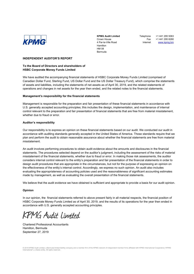

Telephone Fax Internet

+1 441 295 5063 +1 441 295 8280 www.kpmg.bm

### **INDEPENDENT AUDITOR'S REPORT**

### **To the Board of Directors and shareholders of HSBC Corporate Money Funds Limited**

We have audited the accompanying financial statements of HSBC Corporate Money Funds Limited (comprised of Canadian Dollar Fund, Sterling Fund, US Dollar Fund and the US Dollar Treasury Fund), which comprise the statements of assets and liabilities, including the statements of net assets as of April 30, 2019, and the related statements of operations and changes in net assets for the year then ended, and the related notes to the financial statements.

#### **Management's responsibility for the financial statements**

Management is responsible for the preparation and fair presentation of these financial statements in accordance with U.S. generally accepted accounting principles; this includes the design, implementation, and maintenance of internal control relevant to the preparation and fair presentation of financial statements that are free from material misstatement, whether due to fraud or error.

### **Auditor's responsibility**

Our responsibility is to express an opinion on these financial statements based on our audit. We conducted our audit in accordance with auditing standards generally accepted in the United States of America. Those standards require that we plan and perform the audit to obtain reasonable assurance about whether the financial statements are free from material misstatement.

An audit involves performing procedures to obtain audit evidence about the amounts and disclosures in the financial statements. The procedures selected depend on the auditor's judgment, including the assessment of the risks of material misstatement of the financial statements, whether due to fraud or error. In making those risk assessments, the auditor considers internal control relevant to the entity's preparation and fair presentation of the financial statements in order to design audit procedures that are appropriate in the circumstances, but not for the purpose of expressing an opinion on the effectiveness of the entity's internal control. Accordingly, we express no such opinion. An audit also includes evaluating the appropriateness of accounting policies used and the reasonableness of significant accounting estimates made by management, as well as evaluating the overall presentation of the financial statements.

We believe that the audit evidence we have obtained is sufficient and appropriate to provide a basis for our audit opinion.

#### **Opinion**

In our opinion, the financial statements referred to above present fairly in all material respects, the financial position of HSBC Corporate Money Funds Limited as of April 30, 2019, and the results of its operations for the year then ended in accordance with U.S. generally accepted accounting principles.

**KPMG** Audit Limited

Chartered Professional Accountants Hamilton, Bermuda September 27, 2019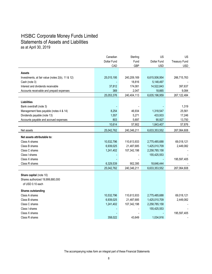### HSBC Corporate Money Funds Limited Statements of Assets and Liabilities as at April 30, 2019

|                                                  | Canadian    | Sterling    | US            | US                   |
|--------------------------------------------------|-------------|-------------|---------------|----------------------|
|                                                  | Dollar Fund | Fund        | Dollar Fund   | <b>Treasury Fund</b> |
|                                                  | CAD         | <b>GBP</b>  | <b>USD</b>    | <b>USD</b>           |
| <b>Assets</b>                                    |             |             |               |                      |
| Investments, at fair value (notes 2(b), 11 & 12) | 25,015,195  | 240,209,169 | 6,615,506,954 | 266,715,763          |
| Cash (note 3)                                    |             | 18,816      | 5,148,497     |                      |
| Interest and dividends receivable                | 37,812      | 174,081     | 14,522,843    | 397,637              |
| Accounts receivable and prepaid expenses         | 369         | 2,047       | 18,665        | 9,084                |
|                                                  | 25,053,376  | 240,404,113 | 6,635,196,959 | 267,122,484          |
|                                                  |             |             |               |                      |
| <b>Liabilities</b>                               |             |             |               |                      |
| Bank overdraft (note 3)                          |             |             |               | 1,319                |
| Management fees payable (notes 4 & 14)           | 8,254       | 46,934      | 1,318,547     | 25,561               |
| Dividends payable (note 13)                      | 1,557       | 5,271       | 433,933       | 17,246               |
| Accounts payable and accrued expenses            | 803         | 5,697       | 90,927        | 13,750               |
|                                                  | 10,614      | 57,902      | 1,843,407     | 57,876               |
| Net assets                                       | 25,042,762  | 240,346,211 | 6,633,353,552 | 267,064,608          |
| Net assets attributable to:                      |             |             |               |                      |
| Class A shares                                   | 10,532,796  | 110,613,933 | 2,775,485,688 | 69,018,121           |
| Class B shares                                   | 6,939,025   | 21,487,685  | 1,425,010,709 | 2,449,082            |
| Class C shares                                   | 1,241,402   | 107,342,198 | 2,258,785,158 |                      |
| Class I shares                                   |             |             | 155,425,553   |                      |
| Class X shares                                   |             |             |               | 195,597,405          |
| Class R shares                                   | 6,329,539   | 902,395     | 18,646,444    |                      |
|                                                  | 25,042,762  | 240,346,211 | 6,633,353,552 | 267,064,608          |
| Share capital (note 10)                          |             |             |               |                      |
| Shares authorized 19,999,880,000                 |             |             |               |                      |
| of USD 0.10 each                                 |             |             |               |                      |
| <b>Shares outstanding</b>                        |             |             |               |                      |
| Class A shares                                   | 10,532,796  | 110,613,933 | 2,775,485,688 | 69,018,121           |
| Class B shares                                   | 6,939,025   | 21,487,685  | 1,425,010,709 | 2,449,082            |
| Class C shares                                   | 1,241,402   | 107,342,198 | 2,258,785,158 |                      |
| Class I shares                                   |             |             | 155,425,553   |                      |
| Class X shares                                   |             |             |               | 195,597,405          |
| Class R shares                                   | 358,022     | 43,649      | 1,034,916     |                      |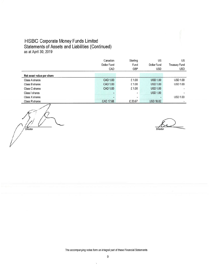# HSBC Corporate Money Funds Limited<br>Statements of Assets and Liabilities (Continued) as at April 30, 2019

|                           | Canadian           | Sterling | US               | US.                      |
|---------------------------|--------------------|----------|------------------|--------------------------|
|                           | <b>Dollar Fund</b> | Fund     | Dollar Fund      | <b>Treasury Fund</b>     |
|                           | CAD                | GBP      | <b>USD</b>       | <b>USD</b>               |
| Net asset value per share |                    |          |                  |                          |
| Class A shares            | CAD 1.00           | £1.00    | <b>USD 1.00</b>  | <b>USD 1.00</b>          |
| Class B shares            | CAD 1.00           | £1.00    | <b>USD 1.00</b>  | <b>USD 1.00</b>          |
| Class C shares            | <b>CAD 1.00</b>    | £1.00    | <b>USD 1.00</b>  |                          |
| Class I shares            |                    | w.       | <b>USD 1.00</b>  | $\overline{\phantom{a}}$ |
| Class X shares            |                    | ۰        |                  | <b>USD 1.00</b>          |
| Class R shares            | CAD 17.68          | £ 20.67  | <b>USD 18.02</b> |                          |

Director

Director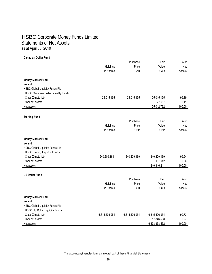### HSBC Corporate Money Funds Limited Statements of Net Assets as at April 30, 2019

#### **Canadian Dollar Fund**

|                                       |               | Purchase      | Fair          | $%$ of |
|---------------------------------------|---------------|---------------|---------------|--------|
|                                       | Holdings      | Price         | Value         | Net    |
|                                       | in Shares     | CAD           | CAD           | Assets |
|                                       |               |               |               |        |
| <b>Money Market Fund</b>              |               |               |               |        |
| Ireland                               |               |               |               |        |
| HSBC Global Liquidity Funds Plc -     |               |               |               |        |
| HSBC Canadian Dollar Liquidity Fund - |               |               |               |        |
| Class Z (note 12)                     | 25,015,195    | 25,015,195    | 25,015,195    | 99.89  |
| Other net assets                      |               |               | 27,567        | 0.11   |
| Net assets                            |               |               | 25,042,762    | 100.00 |
|                                       |               |               |               |        |
| <b>Sterling Fund</b>                  |               |               |               |        |
|                                       |               | Purchase      | Fair          | $%$ of |
|                                       | Holdings      | Price         | Value         | Net    |
|                                       | in Shares     | <b>GBP</b>    | <b>GBP</b>    | Assets |
|                                       |               |               |               |        |
| <b>Money Market Fund</b>              |               |               |               |        |
| Ireland                               |               |               |               |        |
| HSBC Global Liquidity Funds Plc -     |               |               |               |        |
| HSBC Sterling Liquidity Fund -        |               |               |               |        |
| Class Z (note 12)                     | 240,209,169   | 240,209,169   | 240,209,169   | 99.94  |
| Other net assets                      |               |               | 137,042       | 0.06   |
| Net assets                            |               |               | 240,346,211   | 100.00 |
| <b>US Dollar Fund</b>                 |               |               |               |        |
|                                       |               | Purchase      | Fair          | $%$ of |
|                                       | Holdings      | Price         | Value         | Net    |
|                                       | in Shares     | <b>USD</b>    | <b>USD</b>    | Assets |
|                                       |               |               |               |        |
| <b>Money Market Fund</b>              |               |               |               |        |
| Ireland                               |               |               |               |        |
| HSBC Global Liquidity Funds Plc -     |               |               |               |        |
| HSBC US Dollar Liquidity Fund -       |               |               |               |        |
| Class Z (note 12)                     | 6,615,506,954 | 6,615,506,954 | 6,615,506,954 | 99.73  |
| Other net assets                      |               |               | 17,846,598    | 0.27   |
| Net assets                            |               |               | 6,633,353,552 | 100.00 |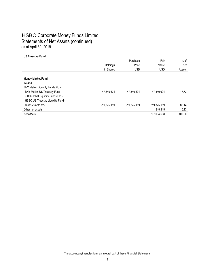### HSBC Corporate Money Funds Limited Statements of Net Assets (continued) as at April 30, 2019

### **US Treasury Fund**

|                                         |             | Purchase    | Fair        | $%$ of |
|-----------------------------------------|-------------|-------------|-------------|--------|
|                                         | Holdings    | Price       | Value       | Net    |
|                                         | in Shares   | <b>USD</b>  | <b>USD</b>  | Assets |
|                                         |             |             |             |        |
| <b>Money Market Fund</b>                |             |             |             |        |
| <b>Ireland</b>                          |             |             |             |        |
| <b>BNY Mellon Liquidity Funds Plc -</b> |             |             |             |        |
| <b>BNY Mellon US Treasury Fund</b>      | 47,340,604  | 47,340,604  | 47,340,604  | 17.73  |
| HSBC Global Liquidity Funds Plc -       |             |             |             |        |
| HSBC US Treasury Liquidity Fund -       |             |             |             |        |
| Class Z (note 12)                       | 219,375,159 | 219,375,159 | 219,375,159 | 82.14  |
| Other net assets                        |             |             | 348.845     | 0.13   |
| Net assets                              |             |             | 267,064,608 | 100.00 |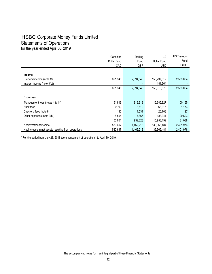### HSBC Corporate Money Funds Limited Statements of Operations

for the year ended April 30, 2019

|                                                      | Canadian    | Sterling   | US          | <b>US Treasury</b> |
|------------------------------------------------------|-------------|------------|-------------|--------------------|
|                                                      | Dollar Fund | Fund       | Dollar Fund | Fund               |
|                                                      | CAD         | <b>GBP</b> | <b>USD</b>  | USD <sup>*</sup>   |
|                                                      |             |            |             |                    |
| <b>Income</b>                                        |             |            |             |                    |
| Dividend income (note 13)                            | 691,348     | 2,394,546  | 155,737,312 | 2,533,064          |
| Interest income (note 3(b))                          |             |            | 181,364     |                    |
|                                                      | 691,348     | 2,394,546  | 155,918,676 | 2,533,064          |
|                                                      |             |            |             |                    |
| <b>Expenses</b>                                      |             |            |             |                    |
| Management fees (notes 4 & 14)                       | 151,813     | 919,312    | 15,685,827  | 100,165            |
| Audit fees                                           | (186)       | 3,619      | 63,316      | 1,173              |
| Directors' fees (note 8)                             | 130         | 1,531      | 20,708      | 127                |
| Other expenses (note 3(b))                           | 8,894       | 7,866      | 183,341     | 29,623             |
|                                                      | 160,651     | 932,328    | 15,953,192  | 131,088            |
| Net investment income                                | 530,697     | 1,462,218  | 139,965,484 | 2,401,976          |
| Net increase in net assets resulting from operations | 530,697     | 1.462.218  | 139.965.484 | 2,401,976          |

\* For the period from July 23, 2018 (commencement of operations) to April 30, 2019.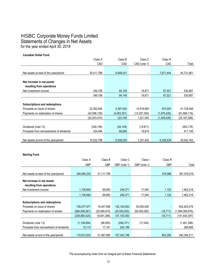### HSBC Corporate Money Funds Limited Statements of Changes in Net Assets for the year ended April 30, 2019

**Canadian Dollar Fund**

|                                          | Class A        | Class B     | Class C        | Class R     |              |
|------------------------------------------|----------------|-------------|----------------|-------------|--------------|
|                                          | CAD            | CAD         | CAD (note 1)   | CAD         | Total        |
|                                          |                |             |                |             |              |
| Net assets at start of the year/period   | 30,411,786     | 6,648,431   |                | 7,671,444   | 44,731,661   |
|                                          |                |             |                |             |              |
| Net increase in net assets               |                |             |                |             |              |
| resulting from operations                |                |             |                |             |              |
| Net investment income                    | 349,156        | 94,149      | 19,871         | 67,521      | 530,697      |
|                                          | 349,156        | 94,149      | 19,871         | 67,521      | 530,697      |
|                                          |                |             |                |             |              |
| <b>Subscriptions and redemptions</b>     |                |             |                |             |              |
| Proceeds on issue of shares              | 22,392,665     | 4,287,000   | 14,578,883     | 470,000     | 41,728,548   |
| Payments on redemption of shares         | (42,596,139)   | (4,063,251) | (13, 357, 300) | (1,879,426) | (61,896,116) |
|                                          | (20, 203, 474) | 223,749     | 1,221,583      | (1,409,426) | (20,167,568) |
|                                          |                |             |                |             |              |
| Dividends (note 13)                      | (349, 156)     | (94, 149)   | (19, 871)      |             | (463, 176)   |
| Proceeds from reinvestments of dividends | 324,484        | 66,845      | 19,819         | ٠           | 411,148      |
|                                          |                |             |                |             |              |
| Net assets at end of the year/period     | 10.532.796     | 6.939.025   | 1,241,402      | 6.329.539   | 25,042,762   |

### **Sterling Fund**

|                                         | Class A       |              | Class C                  | Class I      | Class R    |                 |
|-----------------------------------------|---------------|--------------|--------------------------|--------------|------------|-----------------|
|                                         | <b>GBP</b>    | <b>GBP</b>   | GBP (note 1)             | GBP (note 1) | <b>GBP</b> | Total           |
|                                         |               |              |                          |              |            |                 |
| Net assets at start of the year/period  | 349,484,243   | 31,111,790   | $\overline{\phantom{a}}$ |              | 919,986    | 381,516,019     |
|                                         |               |              |                          |              |            |                 |
| Net increase in net assets              |               |              |                          |              |            |                 |
| resulting from operations               |               |              |                          |              |            |                 |
| Net investment income                   | 1,108,694     | 88,993       | 246,371                  | 17,040       | 1,120      | 1,462,218       |
|                                         | 1,108,694     | 88,993       | 246,371                  | 17,040       | 1,120      | 1,462,218       |
|                                         |               |              |                          |              |            |                 |
| Subscriptions and redemptions           |               |              |                          |              |            |                 |
| Proceeds on issue of shares             | 726,077,671   | 19,447,808   | 142,100,000              | 55,000,000   |            | 942,625,479     |
| Payments on redemption of shares        | (964,958,091) | (29,089,074) | (35,000,000)             | (55,000,000) | (18, 711)  | (1,084,065,876) |
|                                         | (238,880,420) | (9,641,266)  | 107,100,000              |              | (18, 711)  | (141, 440, 397) |
|                                         |               |              |                          |              |            |                 |
| Dividends (note 13)                     | (1, 108, 694) | (88,993)     | (246, 371)               | (17,040)     |            | (1,461,098)     |
| Proceeds from reinvestment of dividends | 10,110        | 17,161       | 242,198                  |              |            | 269,469         |
|                                         |               |              |                          |              |            |                 |
| Net assets at end of the year/period    | 110,613,933   | 21,487,685   | 107,342,198              |              | 902,395    | 240,346,211     |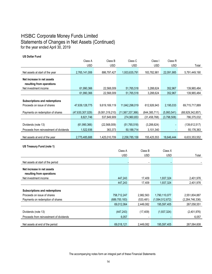### HSBC Corporate Money Funds Limited Statements of Changes in Net Assets (Continued) for the year ended April 30, 2019

**US Dollar Fund**

|                                         | Class A          | Class B         | Class C          | Class I         | Class R     |                  |
|-----------------------------------------|------------------|-----------------|------------------|-----------------|-------------|------------------|
|                                         | <b>USD</b>       | <b>USD</b>      | <b>USD</b>       | <b>USD</b>      | <b>USD</b>  | Total            |
| Net assets at start of the year         | 2,765,141,006    | 886,797,427     | 1,933,635,791    | 183,782,981     | 22,091,985  | 5,791,449,190    |
| Net increase in net assets              |                  |                 |                  |                 |             |                  |
| resulting from operations               |                  |                 |                  |                 |             |                  |
| Net investment income                   | 61,990,366       | 22,568,009      | 51,765,518       | 3,288,624       | 352,967     | 139,965,484      |
|                                         | 61,990,366       | 22,568,009      | 51,765,518       | 3,288,624       | 352,967     | 139,965,484      |
|                                         |                  |                 |                  |                 |             |                  |
| Subscriptions and redemptions           |                  |                 |                  |                 |             |                  |
| Proceeds on issue of shares             | 47,639,128,775   | 9,619,169,119   | 11,842,298,019   | 612,926,943     | 2,195,033   | 69,715,717,889   |
| Payments on redemption of shares        | (47,630,307,029) | (9,081,319,210) | (11,567,337,366) | (644, 385, 711) | (5,993,541) | (68,929,342,857) |
|                                         | 8,821,746        | 537,849,909     | 274,960,653      | (31, 458, 768)  | (3,798,508) | 786,375,032      |
|                                         |                  |                 |                  |                 |             |                  |
| Dividends (note 13)                     | (61,990,366)     | (22, 568, 009)  | (51, 765, 518)   | (3,288,624)     |             | (139, 612, 517)  |
| Proceeds from reinvestment of dividends | 1,522,936        | 363,373         | 50,188,714       | 3,101,340       |             | 55,176,363       |
|                                         |                  |                 |                  |                 |             |                  |
| Net assets at end of the year           | 2,775,485,688    | 1,425,010,709   | 2,258,785,158    | 155,425,553     | 18,646,444  | 6,633,353,552    |

**US Treasury Fund (note 1)**

|                                                                | Class A             | Class B    | Class X         |                      |
|----------------------------------------------------------------|---------------------|------------|-----------------|----------------------|
|                                                                | <b>USD</b>          | <b>USD</b> | <b>USD</b>      | Total                |
| Net assets at start of the period                              |                     |            |                 |                      |
| Net increase in net assets<br>resulting from operations        |                     |            |                 |                      |
| Net investment income                                          | 447,243             | 17,409     | 1,937,324       | 2,401,976            |
|                                                                | 447,243             | 17,409     | 1,937,324       | 2,401,976            |
| Subscriptions and redemptions                                  |                     |            |                 |                      |
| Proceeds on issue of shares                                    | 758,712,247         | 2,982,563  | 1,790,110,077   | 2,551,804,887        |
| Payments on redemption of shares                               | (689, 700, 183)     | (533, 481) | (1,594,512,672) | (2,284,746,336)      |
|                                                                | 69,012,064          | 2,449,082  | 195,597,405     | 267,058,551          |
| Dividends (note 13)<br>Proceeds from reinvestment of dividends | (447, 243)<br>6,057 | (17, 409)  | (1,937,324)     | (2,401,976)<br>6,057 |
| Net assets at end of the period                                | 69,018,121          | 2,449,082  | 195,597,405     | 267,064,608          |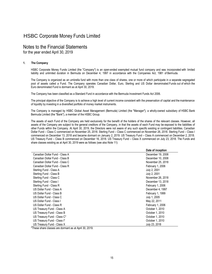### Notes to the Financial Statements

for the year ended April 30, 2019

### **1. The Company**

HSBC Corporate Money Funds Limited (the "Company") is an open-ended exempted mutual fund company and was incorporated with limited liability and unlimited duration in Bermuda on December 4, 1997 in accordance with the Companies Act, 1981 of Bermuda.

The Company is organized as an umbrella fund with more than one class of shares, one or more of which participate in a separate segregated pool of assets called a Fund. The Company operates Canadian Dollar, Euro, Sterling and US Dollar denominated Funds out of which the Euro denominated Fund is dormant as at April 30, 2019.

The Company has been classified as a Standard Fund in accordance with the Bermuda Investment Funds Act 2006.

The principal objective of the Company is to achieve a high level of current income consistent with the preservation of capital and themaintenance of liquidity by investing in a diversified portfolio of money market instruments.

The Company is managed by HSBC Global Asset Management (Bermuda) Limited (the "Manager"), a wholly-owned subsidiary of HSBC Bank Bermuda Limited (the "Bank"), a member of the HSBC Group.

The assets of each Fund of the Company are held exclusively for the benefit of the holders of the shares of the relevant classes. However, all assets of the Company are subject to the general creditors of the Company, in that the assets of each Fund may be exposed to the liabilities of other Funds within the Company. At April 30, 2019, the Directors were not aware of any such specific existing or contingent liabilities. Canadian Dollar Fund – Class C commenced on November 25, 2018. Sterling Fund – Class C commenced on November 26, 2018. Sterling Fund – Class I commenced on December 13, 2018 and became dormant on January 2, 2019. US Treasury Fund – Class A commenced on December 2, 2018. US Treasury Fund – Class B commenced on December 16, 2018. US Treasury Fund – Class X commenced on July 23, 2018. The Funds and share classes existing as at April 30, 2019 were as follows (see also Note 11):

|                                | Date of inception |
|--------------------------------|-------------------|
| Canadian Dollar Fund - Class A | December 19, 2008 |
| Canadian Dollar Fund - Class B | December 10, 2008 |
| Canadian Dollar Fund - Class C | November 25, 2018 |
| Canadian Dollar Fund - Class R | February 1, 2006  |
| Sterling Fund - Class A        | July 2, 2001      |
| Sterling Fund - Class B        | July 2, 2001      |
| Sterling Fund - Class C        | November 26, 2018 |
| Sterling Fund - Class I        | December 13, 2018 |
| Sterling Fund - Class R        | February 1, 2006  |
| US Dollar Fund - Class A       | December 4, 1997  |
| US Dollar Fund - Class B       | February 1, 1999  |
| US Dollar Fund - Class C       | July 1, 2005      |
| US Dollar Fund - Class I       | May 22, 2011      |
| US Dollar Fund - Class R       | February 1, 2006  |
| US Treasury Fund - Class A     | October 1, 2010   |
| US Treasury Fund - Class B     | October 1, 2010   |
| US Treasury Fund - Class C*    | October 1, 2010   |
| US Treasury Fund - Class I*    | October 1, 2010   |
| US Treasury Fund - Class X     | July 23, 2018     |

\*These share classes are dormant as at April 30, 2019.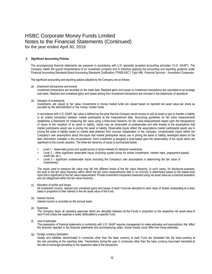#### **2. Significant Accounting Policies**

The accompanying financial statements are prepared in accordance with U.S. generally accepted accounting principles ("U.S. GAAP"). The Company meets the typical characteristics of an investment company and is therefore applying the accounting and reporting guidance under Financial Accounting Standards Board Accounting Standards Codification ("FASB ASC") Topic 946, *Financial Services – Investment Companies.*

The significant accounting and reporting polices adopted by the Company are as follows:

(a) Investment transactions and income

Investment transactions are recorded on the trade date. Realized gains and losses on investment transactions are calculated on an average cost basis. Realized and unrealized gains and losses arising from investment transactions are included in the statements of operations.

(b) Valuation of investments

Investments are valued at fair value. Investments in money market funds are valued based on reported net asset value per share as provided by the administrators of the money market funds.

In accordance with U.S. GAAP, fair value is defined as the price that the Company would receive to sell an asset or pay to transfer a liability in an orderly transaction between market participants at the measurement date. Accounting guidelines for fair value measurements establishes a framework for measuring fair value using a three-level hierarchy for fair value measurements based upon the transparency of inputs to the valuation of an asset or liability. Inputs may be observable or unobservable and refer broadly to the assumptions that market participants would use in pricing the asset or liability. Observable inputs reflect the assumptions market participants would use in pricing the asset or liability based on market data obtained from sources independent of the Company. Unobservable inputs reflect the Company's own assumptions about the inputs that market participants would use in pricing the asset or liability developed based on the best information available in the circumstances. Each investment is assigned a level based upon the observability of the inputs which are significant to the overall valuation. The three-tier hierarchy of inputs is summarized below:

- Level 1 observable prices and quoted prices in active markets for identical investments
- Level 2 other significant observable inputs (including quoted prices for similar investments, interest rates, prepayment speeds, credit risk, etc.)
- Level 3 significant unobservable inputs (including the Company's own assumptions in determining the fair value of investments)

The inputs used to measure fair value may fall into different levels of the fair value hierarchy. In such cases, for disclosure purposes, the level in the fair value hierarchy within which the fair value measurements falls in its entirety is determined based on the lowest level input that is significant to the fair value measurement. Private investment companies measured using net asset value as a practical expedient are not categorized within the fair value hierarchy.

(c) Allocation of profits and losses

All investment income, realized and unrealized gains and losses of each Fund are allocated to each class of shares outstanding on a daily basis in proportion to their interest in the net asset value of the Fund.

(d) Interest income

Interest income is recorded on the accrual basis.

(e) Expenses

The Company bears all operating expenses which are allocated between all the Funds in proportion to the respective net asset value of each Fund unless the expense is solely attributable to a specific Fund.

(f) Use of estimates

The preparation of financial statements in conformity with U.S. GAAP requires management to make estimates and assumptions that affect the amounts reported in the financial statements and accompanying notes. Actual results could differ from those estimates.

(g) Foreign currency translation

Assets and liabilities denominated in currencies other than the base currency of each Fund are translated into the base currency at the rate prevailing at the reporting date. Transactions during the year in currencies other than the base currency have been translated at the rate of exchange prevailing on the respective date of the transaction.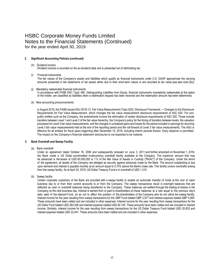### **2. Significant Accounting Policies (continued)**

#### (h) Dividend income Dividend income is recorded on the ex-dividend date and is presented net of withholding tax.

#### (i) Financial instruments

The fair values of the Company's assets and liabilities which qualify as financial instruments under U.S. GAAP approximate the carrying amounts presented in the statements of net assets either due to their short-term nature or are recorded at fair value (see also note 2(b)).

(j) Mandatory redeemable financial instruments In accordance with FASB ASC Topic 480, *Distinguishing Liabilities from Equity*, financial instruments mandatorily redeemable at the option of the holder, are classified as liabilities when a redemption request has been received and the redemption amount has been determined.

#### (k) New accounting pronouncements

In August 2018, the FASB issued ASU 2018-13, Fair Value Measurement (Topic 820): Disclosure Framework — Changes to the Disclosure Requirements for Fair Value Measurement, which changes the fair value measurement disclosure requirements of ASC 820. For nonpublic entities such as the Company, the amendments involve the elimination of certain disclosure requirements of ASC 820. These include transfers between Level 1 and Level 2 of the fair value hierarchy, the Company's policy for the timing of transfers between levels, the valuation processes for Level 3 fair value measurements, and the changes in unrealized gains and losses for the period included in earnings for recurring Level 3 fair value measurements held at the end of the reporting period and the roll-forward of Level 3 fair value measurements. The ASU is effective for all entities for fiscal years beginning after December 15, 2019, including interim periods therein. Early adoption is permitted. The impact on the Company's financial statement disclosures is not expected to be material.

### **3. Bank Overdraft and Sweep Facility**

(a) Bank overdraft

Under an agreement dated October 16, 2006 and subsequently renewed on June 3, 2011 and further amended on November 1, 2016, the Bank made a US Dollar uncommitted multicurrency overdraft facility available to the Company. The maximum amount that may be advanced is the lesser of USD 45,000,000 or 1% of the Net Value of Assets in Custody ("NVAC") of the Company. Under the terms of the agreement, all assets of the Company are pledged as security against advances made by the Bank. The amount outstanding is due upon demand and interest is payable monthly at an amount equal to 0.75% above the Bank's base rate. This facility covers overdrafts arising from the sweep facility. As at April 30, 2019, US Dollar Treasury Fund is in overdraft of USD 1,319.

(b) Sweep facility

Certain corporate customers of the Bank are provided with a sweep facility to enable an automatic transfer of funds at the end of each business day to or from their current accounts to or from the Company. The sweep transactions result in overnight balances that are reflected as cash or overdraft balances being transferred to the Company. These balances are settled through the trading of shares in the Company on the next business day. Interest is earned from or paid to shareholders on these balances at a rate equal to the previous day's daily yield of the relevant Fund, so as not to affect the position of the shareholders of the Company who do not utilize the sweep facility. Interest income for the year resulting from sweep transactions for the GBP Fund totaled GBP 2,577 and interest expense totaled GBP 4,060. These amounts have been netted and are included in other expenses. Interest income for the year resulting from sweep transactions for the US Dollar Fund totaled USD 263,509 and interest expense totaled USD 82,145. These amounts have been netted and are included in interest income. Similarly, interest income for the year resulting from sweep transactions for the US Dollar Treasury Fund totaled USD 20,833 and interest expense totaled USD 22,441. These amounts have been netted and are included in other expenses.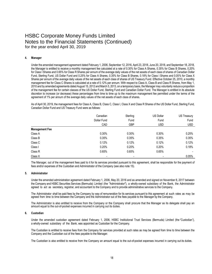### **4. Manager**

Under the amended management agreement dated February 1, 2006, September 12, 2016, April 23, 2018, June 20, 2018, and September 18, 2018, the Manager is entitled to receive a monthly management fee calculated at a rate of 0.30% for Class A Shares, 0.35% for Class B Shares, 0.20% for Class I Shares and 0.65% for Class R Shares per annum of the average daily values of the net assets of each class of shares of Canadian Dollar Fund, Sterling Fund, US Dollar Fund and 0.25% for Class A Shares, 0.35% for Class B Shares, 0.18% for Class I Shares and 0.05% for Class X Shares per annum of the average daily values of the net assets of each class of shares of US Treasury Fund. Effective October 25, 2010, a monthly management fee for Class C Shares is calculated at a rate of 0.12% per annum. With respect to Class A, Class B and Class R Shares, from May 1, 2010 and by amended agreements dated August 15, 2012 and March 5, 2013, on a temporary basis, the Manager may voluntarily reduce a proportion of the management fee for certain classes of the US Dollar Fund, Sterling Fund and Canadian Dollar Fund. The Manager is entitled in its absolute discretion to increase (or decrease) these percentages from time to time up to the maximum management fee permitted under the terms of the agreement of 1% per annum of the average daily values of the net assets of each class of shares.

As of April 30, 2019, the management fees for Class A, Class B, Class C, Class I, Class X and Class R Shares of the US Dollar Fund, Sterling Fund, Canadian Dollar Fund and US Treasury Fund were as follows:

|                       | Canadian                 | Sterling   | US Dollar                | US Treasury |
|-----------------------|--------------------------|------------|--------------------------|-------------|
|                       | Dollar Fund              | Fund       | Fund                     | Fund        |
|                       | CAD                      | <b>GBP</b> | <b>USD</b>               | <b>USD</b>  |
| <b>Management Fee</b> |                          |            |                          |             |
| Class A               | 0.30%                    | 0.30%      | 0.30%                    | 0.25%       |
| Class B               | 0.35%                    | 0.35%      | 0.35%                    | 0.35%       |
| Class C               | 0.12%                    | 0.12%      | 0.12%                    | 0.12%       |
| Class I               | 0.20%                    | 0.20%      | 0.20%                    | 0.18%       |
| Class <sub>R</sub>    | 0.65%                    | 0.65%      | 0.65%                    |             |
| Class X               | $\overline{\phantom{0}}$ | ۰          | $\overline{\phantom{a}}$ | 0.05%       |

The Manager, out of the management fees paid to it for its services provided pursuant to this agreement, shall be responsible for the payment of fees and/or expenses of the Custodian and Administrator of the Company (see also note 15).

#### **5. Administrator**

Under the amended administration agreement dated February 1, 2006, May 20, 2016 and as amended and signed on November 8, 2017 between the Company and HSBC Securities Services (Bermuda) Limited (the "Administrator"), a wholly-owned subsidiary of the Bank, the Administrator agreed to act as secretary, registrar, and accountant to the Company and to provide administrative services to the Company.

The Administrator shall be paid fees by the Company by way of remuneration for its services pursuant to this agreement at such rates as may be agreed from time to time between the Company and the Administrator out of the fees payable to the Manager by the Company.

The Administrator is also entitled to receive from the Company or the Company shall procure that the Manager as its delegate shall pay an amount equal to the out-of-pocket expenses incurred in carrying out its duties.

#### **6. Custodian**

Under the amended custodian agreement dated February 1, 2006, HSBC Institutional Trust Services (Bermuda) Limited (the "Custodian"), a wholly-owned subsidiary of the Bank, was appointed as Custodian for the Company.

The Custodian is entitled to receive fees from the Company for services provided at such rates as may be agreed from time to time between the Company and the Custodian out of the fees payable to the Manager.

The Custodian is also entitled to receive from the Company an amount equal to the out-of-pocket expenses incurred in carrying out its duties.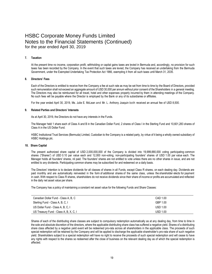#### **7. Taxation**

At the present time no income, corporation profit, withholding or capital gains taxes are levied in Bermuda and, accordingly, no provision for such taxes has been recorded by the Company. In the event that such taxes are levied, the Company has received an undertaking from the Bermuda Government, under the Exempted Undertaking Tax Protection Act 1966, exempting it from all such taxes until March 31, 2035.

#### **8. Directors' Fees**

Each of the Directors is entitled to receive from the Company a fee at such rate as may be set from time to time by the Board of Directors, provided such remuneration shall not exceed an aggregate amount of USD 30,000 per annum without prior consent of the Shareholders in a general meeting. The Directors may also be reimbursed for all travel, hotel and other expenses properly incurred by them in attending meetings of the Company. No such fees will be payable where the Director is employed by the Bank or any of its subsidiaries or affiliates.

For the year ended April 30, 2019, Ms. Julie E. McLean and Mr. L. Anthony Joaquin both received an annual fee of USD 8,500.

#### **9. Related Parties and Directors' Interests**

As at April 30, 2019, the Directors do not have any interests in the Funds.

The Manager held 1 share each of Class A and B in the Canadian Dollar Fund, 2 shares of Class I in the Sterling Fund and 10,601,283 shares of Class A in the US Dollar Fund.

HSBC Institutional Trust Services (Bermuda) Limited, Custodian to the Company is a related party, by virtue of it being a wholly owned subsidiary of HSBC Holdings plc.

#### **10. Share Capital**

The present authorized share capital of USD 2,000,000,000 of the Company is divided into 19,999,880,000 voting participating common shares ("Shares") of USD 0.10 par value each and 12,000 non-voting, non-participating founders' shares of USD 1.00 par value each. The Manager holds all founders' shares, nil paid. The founders' shares are not entitled to vote unless there are no other shares in issue, and are not entitled to any dividends. Participating common shares may be subscribed for and redeemed on a daily basis.

The Directors' intention is to declare dividends for all classes of shares in all Funds, except Class R shares, on each dealing day. Dividends are paid monthly and are automatically reinvested in the form of additional shares of the same class, unless the shareholder elects for payment in cash. With respect to Class R shares, shareholders do not receive dividends since their share of income or profits are accumulated and reflected in the daily net asset value per share.

The Company has a policy of maintaining a constant net asset value for the following Funds and Share Classes:

| Canadian Dollar Fund - Class A, B, C   | CAD 1.00        |
|----------------------------------------|-----------------|
| Sterling Fund - Class A, B, C, I       | GBP 1.00        |
| US Dollar Fund - Class A, B, C, I      | USD 1.00        |
| US Treasury Fund - Class A, B, X, C, I | <b>USD 1.00</b> |

Shares of each of the distributing share classes are subject to compulsory redemption automatically as at any dealing day, from time to time in the sole and absolute discretion of the directors, where the applicable distributing share class has suffered a negative yield. Shares of a distributing share class affected by a negative yield event will be redeemed pro-rata across all shareholders in the applicable class. The proceeds of such special redemption will be retained by the Company and will be applied to discharge the applicable shareholder's pro-rata share of such negative yield. Shareholders subject to a special redemption will have no right to receive the proceeds of such special redemption and will cease to have any rights with respect to the shares so redeemed after the close of business on the relevant dealing day as of which the special redemption is affected.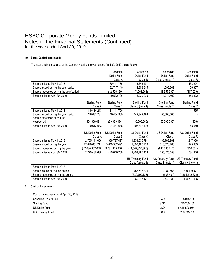### **10. Share Capital (continued)**

Transactions in the Shares of the Company during the year ended April 30, 2019 are as follows:

|                                        |                       | Canadian              | Canadian                | Canadian                | Canadian                |
|----------------------------------------|-----------------------|-----------------------|-------------------------|-------------------------|-------------------------|
|                                        |                       | <b>Dollar Fund</b>    | Dollar Fund             | Dollar Fund             | <b>Dollar Fund</b>      |
|                                        |                       | Class A               | Class B                 | Class C (note 1)        | Class R                 |
| Shares in issue May 1, 2018            |                       | 30,411,786            | 6,648,431               |                         | 438,224                 |
| Shares issued during the year/period   |                       | 22,717,149            | 4,353,845               | 14,598,702              | 26,807                  |
| Shares redeemed during the year/period |                       | (42, 596, 139)        | (4,063,251)             | (13, 357, 300)          | (107,009)               |
| Shares in issue April 30, 2019         |                       | 10,532,796            | 6,939,025               | 1,241,402               | 358,022                 |
|                                        | <b>Sterling Fund</b>  | <b>Sterling Fund</b>  | <b>Sterling Fund</b>    | <b>Sterling Fund</b>    | <b>Sterling Fund</b>    |
|                                        | Class A               | Class B               | Class C (note 1)        | Class I (note 1)        | Class R                 |
| Shares in issue May 1, 2018            | 349,484,243           | 31,111,790            |                         |                         | 44,555                  |
| Shares issued during the year/period   | 726,087,781           | 19,464,969            | 142,342,198             | 55,000,000              |                         |
| Shares redeemed during the             |                       |                       |                         |                         |                         |
| year/period                            | (964, 958, 091)       | (29,089,074)          | (35,000,000)            | (55,000,000)            | (906)                   |
| Shares in issue April 30, 2019         | 110,613,933           | 21,487,685            | 107,342,198             |                         | 43,649                  |
|                                        |                       |                       |                         |                         |                         |
|                                        | <b>US Dollar Fund</b> | <b>US Dollar Fund</b> | <b>US Dollar Fund</b>   | <b>US Dollar Fund</b>   | <b>US Dollar Fund</b>   |
|                                        | Class A               | Class B               | Class C                 | Class I                 | Class R                 |
| Shares in issue May 1, 2018            | 2,765,141,006         | 886.797.427           | 1,933,635,791           | 183,782,981             | 1,247,938               |
| Shares issued during the year          | 47,640,651,711        | 9,619,532,492         | 11,892,486,733          | 616,028,283             | 123,009                 |
| Shares redeemed during the year        | (47,630,307,029)      | (9,081,319,210)       | (11,567,337,366)        | (644,385,711)           | (336, 031)              |
| Shares in issue April 30, 2019         | 2,775,485,688         | 1,425,010,709         | 2,258,785,158           | 155,425,553             | 1,034,916               |
|                                        |                       |                       | <b>US Treasury Fund</b> | <b>US Treasury Fund</b> | <b>US Treasury Fund</b> |
|                                        |                       |                       | Class A (note 1)        | Class B (note 1)        | Class X (note 1)        |
| Shares in issue May 1, 2018            |                       |                       |                         |                         |                         |
| Shares issued during the period        |                       |                       | 758,718,304             | 2,982,563               | 1,790,110,077           |
| Shares redeemed during the period      |                       |                       | (689, 700, 183)         | (533, 481)              | (1,594,512,672)         |
| Shares in issue April 30, 2019         |                       |                       | 69,018,121              | 2,449,082               | 195,597,405             |
|                                        |                       |                       |                         |                         |                         |

### **11. Cost of Investments**

| Cost of investments as at April 30, 2019 |            |               |
|------------------------------------------|------------|---------------|
| Canadian Dollar Fund                     | CAD        | 25,015,195    |
| <b>Sterling Fund</b>                     | <b>GBP</b> | 240,209,169   |
| <b>US Dollar Fund</b>                    | <b>USD</b> | 6,615,506,954 |
| US Treasury Fund                         | <b>USD</b> | 266,715,763   |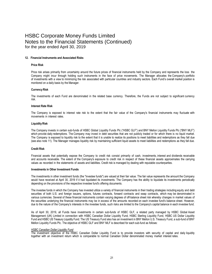#### **12. Financial Instruments and Associated Risks**

#### **Price Risk**

Price risk arises primarily from uncertainty around the future prices of financial instruments held by the Company and represents the loss the Company might incur through holding such instruments in the face of price movements. The Manager allocates the Company's portfolio of investments with a view to minimizing the risk associated with particular countries and industry sectors. Each Fund's overall market position is monitored on a daily basis by the Manager.

#### **CurrencyRisk**

The investments of each Fund are denominated in the related base currency. Therefore, the Funds are not subject to significant currency risk.

#### **Interest Rate Risk**

The Company is exposed to interest rate risk to the extent that the fair value of the Company's financial instruments may fluctuate with movements in interest rates.

#### **LiquidityRisk**

The Company invests in certain sub-funds of HSBC Global Liquidity Funds Plc ("HSBC GLF") and BNY Mellon Liquidity Funds Plc ("BNY MLF") which provide daily redemptions. The Company may invest in debt securities that are not publicly traded or for which there is no liquid market. The Company is exposed to liquidity risk to the extent that it is unable to realize its positions to meet liabilities and redemptions as they fall due (see also note 11). The Manager manages liquidity risk by maintaining sufficient liquid assets to meet liabilities and redemptions as they fall due.

#### **Credit Risk**

Financial assets that potentially expose the Company to credit risk consist primarily of cash, investments, interest and dividends receivable and accounts receivable. The extent of the Company's exposure to credit risk in respect of these financial assets approximates the carrying values as recorded in the statements of assets and liabilities. Credit risk is managed by dealing with reputable counterparties.

#### **Investments in Other Investment Funds**

The investments in other investment funds (the "investee funds") are valued at their fair value. The fair value represents the amount the Company would have received at April 30, 2019 if it had liquidated its investments. The Company has the ability to liquidate its investments periodically depending on the provisions of the respective investee fund's offering documents.

The investee funds in which the Company has invested utilize a variety of financial instruments in their trading strategies including equity and debt securities of both U.S. and foreign issuers, options, futures contracts, forward contracts and swap contracts, which may be denominated in various currencies. Several of these financial instruments contain varying degrees of off-balance sheet risk whereby changes in market values of the securities underlying the financial instruments may be in excess of the amounts recorded on each investee fund's balance sheet. However, due to the nature of the Company's interests in the investee funds, such risks are limited to the Company's capital balance in each investee fund.

As of April 30, 2019, all Funds have investments in certain sub-funds of HSBC GLF, a related party managed by HSBC Global Asset Management (UK) Limited in connection with HSBC Canadian Dollar Liquidity Fund, HSBC Sterling Liquidity Fund, HSBC US Dollar Liquidity Fund and HSBC US Treasury Liquidity Fund. The US Treasury Fund also has an investment in BNY Mellon U.S. Treasury Fund, a sub-fund of BNY Mellon Liquidity Funds Plc. The objective of HSBC GLF and BNY MLF is described for each sub-fund as follows:

#### *HSBC Canadian Dollar Liquidity Fund*

The investment objective of the HSBC Canadian Dollar Liquidity Fund is to provide investors with security of capital and daily liquidity together with an investment return which is comparable to normal Canadian Dollar denominated money market interest rates.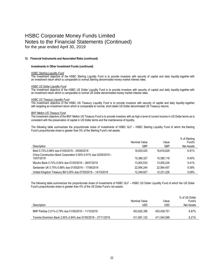#### **12. Financial Instruments and Associated Risks (continued)**

#### **Investments in Other Investment Funds (continued)**

### *HSBC Sterling Liquidity Fund*

The investment objective of the HSBC Sterling Liquidity Fund is to provide investors with security of capital and daily liquidity together with an investment return which is comparable to normal Sterling denominated money market interest rates.

#### *HSBC US Dollar Liquidity Fund*

The investment objective of the HSBC US Dollar Liquidity Fund is to provide investors with security of capital and daily liquidity together with an investment return which is comparable to normal US Dollar denominated money market interest rates.

#### *HSBC US Treasury Liquidity Fund*

The investment objective of the HSBC US Treasury Liquidity Fund is to provide investors with security of capital and daily liquidity together with targeting an investment return which is comparable to normal, short dated US Dollar denominated US Treasury returns.

#### *BNY Mellon US Treasury Fund*

The investment objective of the BNY Mellon US Treasury Fund is to provide investors with as high a level of current income in US Dollar terms as is consistent with the preservation of capital in US Dollar terms and the maintenance of liquidity.

The following table summarizes the proportionate share of investments of HSBC GLF – HSBC Sterling Liquidity Fund of which the Sterling Fund's proportionate share is greater than 5% of the Sterling Fund's net assets:

| Description                                                                    | Nominal Value<br>GBP | Value<br><b>GBP</b> | % of Sterling<br>Fund's<br><b>Net Assets</b> |
|--------------------------------------------------------------------------------|----------------------|---------------------|----------------------------------------------|
| Bred 0.72%-0.88% due 01/05/2019 - 05/09/2019                                   | 16.630.025           | 16.616.829          | 6.91%                                        |
| China Construction Bank Corporation 0.00%-0.91% due 02/05/2019 -<br>10/07/2019 | 15.386.327           | 15.380.116          | 6.40%                                        |
| Mizuho Bank 0.72%-0.84% due 01/05/2019 - 26/07/2019                            | 13.005.533           | 13.005.235          | 5.41%                                        |
| Santander UK 0.75%-0.86% due 01/052019 - 17/06/2019                            | 22.564.244           | 22.564.457          | 9.39%                                        |
|                                                                                |                      |                     |                                              |
| United Kingdom Treasury Bill 0.00% due 07/05/2019 - 14/10/2019                 | 12.248.827           | 12.231.226          | 5.09%                                        |

The following table summarizes the proportionate share of investments of HSBC GLF – HSBC US Dollar Liquidity Fund of which the US Dollar Fund's proportionate share is greater than 5% of the US Dollar Fund's net assets:

|                                                               | Nominal Value | Value       | % of US Dollar<br>Fund's |
|---------------------------------------------------------------|---------------|-------------|--------------------------|
| Description                                                   | USD           | USD         | Net Assets               |
| BNP Paribas 2.51%-2.79% due 01/05/2019 - 11/10/2019           | 453.620.356   | 453.438.751 | $6.87\%$                 |
| Toronto-Dominion Bank 2.50%-2.84% due 01/05/2019 - 27/11/2019 | 411.691.123   | 411.544.599 | 6.21%                    |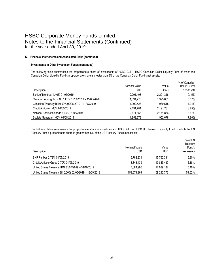### **12. Financial Instruments and Associated Risks (continued)**

### **Investments in Other Investment Funds (continued)**

The following table summarizes the proportionate share of investments of HSBC GLF – HSBC Canadian Dollar Liquidity Fund of which the Canadian Dollar Liquidity Fund's proportionate share is greater than 5% of the Canadian Dollar Fund's net assets:

|                                                       | Nominal Value | Value     | % of Canadian<br>Dollar Fund's |
|-------------------------------------------------------|---------------|-----------|--------------------------------|
| Description                                           | CAD           | CAD       | Net Assets                     |
| Bank of Montreal 1.46% 01/05/2019                     | 2.291.408     | 2.291.316 | 9.15%                          |
| Canada Housing Trust No 1 FRN 15/09/2019 - 15/03/2020 | 1.394.770     | 1.395.851 | 5.57%                          |
| Canadian Treasury Bill 0.00% 02/05/2019 - 11/07/2019  | 1.992.528     | 1,989,518 | 7.94%                          |
| Crédit Agricole 1.60% 01/05/2019                      | 2.191.781     | 2.191.781 | 8.75%                          |
| National Bank of Canada 1.65% 01/05/2019              | 2,171,856     | 2.171.856 | 8.67%                          |
| Societe Generale 1.60% 01/05/2019                     | 1.952.678     | 1.952.678 | 7.80%                          |

The following table summarizes the proportionate share of investments of HSBC GLF – HSBC US Treasury Liquidity Fund of which the US Treasury Fund's proportionate share is greater than 5% of the US Treasury Fund's net assets:

|                                                           | Nominal Value | Value       | % of US<br>Treasury<br>Fund's |
|-----------------------------------------------------------|---------------|-------------|-------------------------------|
| Description                                               | USD           | USD         | <b>Net Assets</b>             |
| BNP Paribas 2.73% 01/05/2019                              | 15.762.331    | 15.762.331  | 5.90%                         |
| Crédit Agricole Group 2.70% 01/05/2019                    | 13.843.439    | 13.843.439  | 5.18%                         |
| United States Treasury FRN 31/07/2019 - 31/10/2019        | 17.084.996    | 17.089.182  | 6.40%                         |
| United States Treasury Bill 0.00% 02/05/2019 - 12/09/2019 | 159.679.269   | 159,230,773 | 59.62%                        |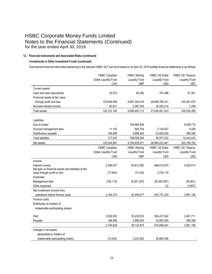### **12. Financial Instruments and Associated Risks (continued)**

### **Investments in Other Investment Funds (continued)**

Summarized financial information pertaining to the relevant HSBC GLF sub-fund based on its April 30, 2019 audited financial statements is as follows:

|                                                      | <b>HSBC Canadian</b>  | <b>HSBC Sterling</b>  | <b>HSBC US Dollar</b> | <b>HSBC US Treasury</b> |
|------------------------------------------------------|-----------------------|-----------------------|-----------------------|-------------------------|
|                                                      | Dollar Liquidity Fund | <b>Liquidity Fund</b> | <b>Liquidity Fund</b> | <b>Liquidity Fund</b>   |
|                                                      | CAD                   | <b>GBP</b>            | <b>USD</b>            | <b>USD</b>              |
| <b>Current assets</b>                                |                       |                       |                       |                         |
| Cash and cash equivalents                            | 35,070                | 65,392                | 791,488               | 61,361                  |
| Financial assets at fair value                       |                       |                       |                       |                         |
| through profit and loss                              | 125,646,599           | 6,957,040,419         | 26,999,789,321        | 330,481,675             |
| Accrued interest income                              | 40,521                | 2,387,304             | 35,420,214            | 7,249                   |
| <b>Total assets</b>                                  | 125,722,190           | 6,959,493,115         | 27,036,001,023        | 330,550,285             |
|                                                      |                       |                       |                       |                         |
| Liabilities                                          |                       |                       |                       |                         |
| Due to broker                                        |                       | 194,984,948           |                       | 9,939,712               |
| Accrued management fees                              | 11,105                | 683,754               | 2,124,527             | 4,426                   |
| Distributions payable                                | 166,098               | 3,889,342             | 53,853,005            | 499,395                 |
| <b>Total liabilities</b>                             | 177,203               | 199,558,044           | 55,977,532            | 10,443,533              |
| Net assets                                           | 125,544,987           | 6,759,935,071         | 26,980,023,491        | 320,106,752             |
|                                                      | <b>HSBC Canadian</b>  | <b>HSBC Sterling</b>  | <b>HSBC US Dollar</b> | <b>HSBC US Treasury</b> |
|                                                      | Dollar Liquidity Fund | <b>Liquidity Fund</b> | <b>Liquidity Fund</b> | <b>Liquidity Fund</b>   |
|                                                      | CAD                   | <b>GBP</b>            | <b>USD</b>            | <b>USD</b>              |
| Income                                               |                       |                       |                       |                         |
| Interest income                                      | 2,358,037             | 50,612,562            | 666,610,675           | 4,035,514               |
| Net gain on financial assets and liabilities at fair |                       |                       |                       |                         |
| value through profit or loss                         | (17, 644)             | 101,535               | 3,724,118             |                         |
| Expenses                                             |                       |                       |                       |                         |
| Management fees                                      | (156, 119)            | (8,357,220)           | (26, 583, 587)        | (40, 601)               |
| Other expenses                                       |                       |                       | (3)                   | (3,807)                 |
| Net investment income from                           |                       |                       |                       |                         |
| operations before finance costs                      | 2,184,274             | 42,356,877            | 643.751.203           | 3,991,106               |
| Finance costs                                        |                       |                       |                       |                         |
| Distribution to holders of                           |                       |                       |                       |                         |
| redeemable participating shares                      |                       |                       |                       |                         |
| Paid                                                 | 2,028,530             | 35,235,533            | 564,237,642           | 3,491,711               |
| Payable                                              | 166,098               | 3,889,342             | 53,853,005            | 499,395                 |
|                                                      | 2,194,628             | 39,124,875            | 618,090,647           | 3,991,106               |
| Change in net assets                                 |                       |                       |                       |                         |
| attributable to holders of                           |                       |                       |                       |                         |
| redeemable participating shares                      | (10, 354)             | 3,232,002             | 25,660,556            |                         |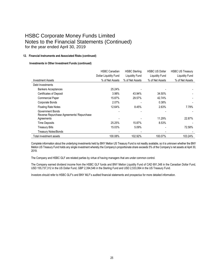### **12. Financial Instruments and Associated Risks (continued)**

### **Investments in Other Investment Funds (continued)**

|                                           | <b>HSBC Canadian</b>  | <b>HSBC Sterling</b> | <b>HSBC US Dollar</b> | <b>HSBC US Treasury</b> |
|-------------------------------------------|-----------------------|----------------------|-----------------------|-------------------------|
|                                           | Dollar Liquidity Fund | Liquidity Fund       | Liquidity Fund        | <b>Liquidity Fund</b>   |
| <b>Investment Assets</b>                  | % of Net Assets       | % of Net Assets      | % of Net Assets       | % of Net Assets         |
| Debt Investments                          |                       |                      |                       |                         |
| <b>Bankers Acceptances</b>                | 25.24%                |                      |                       |                         |
| <b>Certificates of Deposit</b>            | 3.98%                 | 43.94%               | 34.50%                |                         |
| <b>Commercial Paper</b>                   | 15.87%                | 29.57%               | 42.74%                |                         |
| Corporate Bonds                           | 2.07%                 |                      | 0.38%                 |                         |
| <b>Floating Rate Notes</b>                | 12.64%                | 8.45%                | 2.63%                 | 7.79%                   |
| <b>Government Bonds</b>                   |                       |                      |                       |                         |
| Reverse Repurchase Agreements/ Repurchase |                       |                      |                       |                         |
| Agreements                                |                       |                      | 11.29%                | 22.87%                  |
| <b>Time Deposits</b>                      | 25.25%                | 15.87%               | 8.53%                 |                         |
| <b>Treasury Bills</b>                     | 15.03%                | 5.09%                |                       | 72.58%                  |
| <b>Treasury Notes/Bonds</b>               |                       |                      |                       |                         |
| Total investment assets                   | 100.08%               | 102.92%              | 100.07%               | 103.24%                 |

Complete information about the underlying investments held by BNY Mellon US Treasury Fund is not readily available, so it is unknown whether the BNY Mellon US Treasury Fund holds any single investment whereby the Company's proportionate share exceeds 5% of the Company's net assets at April 30, 2019.

The Company and HSBC GLF are related parties by virtue of having managers that are under common control.

The Company earned dividend income from the HSBC GLF funds and BNY Mellon Liquidity Fund of CAD 691,348 in the Canadian Dollar Fund, USD 155,737,312 in the US Dollar Fund, GBP 2,394,546 in the Sterling Fund and USD 2,533,064 in the US Treasury Fund.

Investors should refer to HSBC GLF's and BNY MLF's audited financial statements and prospectus for more detailed information.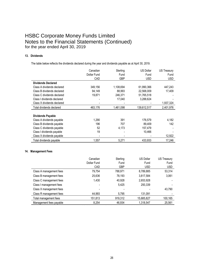### **13. Dividends**

The table below reflects the dividends declared during the year and dividends payable as at April 30, 2019.

|                            | Canadian    | Sterling   | <b>US Dollar</b> | <b>US Treasury</b> |
|----------------------------|-------------|------------|------------------|--------------------|
|                            | Dollar Fund | Fund       | Fund             | Fund               |
|                            | CAD         | <b>GBP</b> | <b>USD</b>       | <b>USD</b>         |
| <b>Dividends Declared</b>  |             |            |                  |                    |
| Class A dividends declared | 349,156     | 1,108,694  | 61,990,366       | 447,243            |
| Class B dividends declared | 94,149      | 88,993     | 22,568,009       | 17.409             |
| Class C dividends declared | 19,871      | 246,371    | 51,765,518       |                    |
| Class I dividends declared |             | 17,040     | 3,288,624        |                    |
| Class X dividends declared |             |            |                  | 1,937,324          |
| Total dividends declared   | 463.176     | 1,461,098  | 139,612,517      | 2,401,976          |
| <b>Dividends Payable</b>   |             |            |                  |                    |
| Class A dividends payable  | 1,290       | 391        | 176,579          | 4,182              |
| Class B dividends payable  | 196         | 707        | 89,409           | 142                |
| Class C dividends payable  | 52          | 4,173      | 157,479          |                    |
| Class I dividends payable  | 19          |            | 10,466           |                    |
| Class X dividends payable  |             |            |                  | 12,922             |
| Total dividends payable    | 1.557       | 5,271      | 433.933          | 17.246             |

### **14. Management Fees**

|                         | Canadian    | Sterling   | <b>US Dollar</b> | US Treasury |
|-------------------------|-------------|------------|------------------|-------------|
|                         | Dollar Fund | Fund       | Fund             | Fund        |
|                         | CAD         | <b>GBP</b> | <b>USD</b>       | <b>USD</b>  |
| Class A management fees | 79.754      | 788,971    | 8,789,885        | 53,314      |
| Class B management fees | 25,636      | 78,193     | 3,817,584        | 3,061       |
| Class C management fees | 1,430       | 40,928     | 2,653,928        |             |
| Class I management fees |             | 5.425      | 293.339          |             |
| Class X management fees |             |            |                  | 43,790      |
| Class R management fees | 44,993      | 5,795      | 131.091          |             |
| Total management fees   | 151,813     | 919,312    | 15,685,827       | 100,165     |
| Management fees payable | 8.254       | 46.934     | 1,318,547        | 25,561      |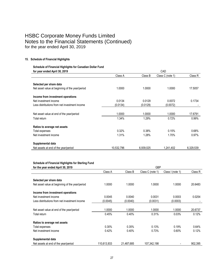### **15. Schedule of Financial Highlights**

### **Schedule of Financial Highlights for Canadian Dollar Fund for year ended April 30, 2019** CAD

| TVI YUU UNUUU APIN VV, LUTV                     |            |           | שו ש             |           |  |
|-------------------------------------------------|------------|-----------|------------------|-----------|--|
|                                                 | Class A    | Class B   | Class C (note 1) | Class R   |  |
| Selected per share data                         |            |           |                  |           |  |
| Net asset value at beginning of the year/period | 1.0000     | 1.0000    | 1.0000           | 17.5057   |  |
| Income from investment operations               |            |           |                  |           |  |
| Net investment income                           | 0.0134     | 0.0129    | 0.0072           | 0.1734    |  |
| Less distributions from net investment income   | (0.0134)   | (0.0129)  | (0.0072)         |           |  |
| Net asset value at end of the year/period       | 1.0000     | 1.0000    | 1.0000           | 17.6791   |  |
| Total return                                    | 1.34%      | 1.29%     | 0.72%            | 0.99%     |  |
| Ratios to average net assets                    |            |           |                  |           |  |
| Total expenses                                  | 0.32%      | 0.38%     | 0.15%            | 0.68%     |  |
| Net investment income                           | 1.31%      | 1.28%     | 1.70%            | 0.97%     |  |
| Supplemental data                               |            |           |                  |           |  |
| Net assets at end of the year/period            | 10,532,796 | 6.939.025 | 1.241.402        | 6,329,539 |  |

#### **Schedule of Financial Highlights for Sterling Fund**

| for the year ended April 30, 2019               |             | <b>GBP</b> |                  |                  |         |
|-------------------------------------------------|-------------|------------|------------------|------------------|---------|
|                                                 | Class A     | Class B    | Class C (note 1) | Class I (note 1) | Class R |
| Selected per share data                         |             |            |                  |                  |         |
| Net asset value at beginning of the year/period | 1.0000      | 1.0000     | 1.0000           | 1.0000           | 20.6483 |
| Income from investment operations               |             |            |                  |                  |         |
| Net investment income                           | 0.0045      | 0.0040     | 0.0031           | 0.0003           | 0.0254  |
| Less distributions from net investment income   | (0.0045)    | (0.0040)   | (0.0031)         | (0.0003)         |         |
|                                                 |             |            |                  |                  |         |
| Net asset value at end of the year/period       | 1.0000      | 1.0000     | 1.0000           | 1.0000           | 20.6737 |
| Total return                                    | 0.45%       | 0.40%      | 0.31%            | 0.03%            | 0.12%   |
| Ratios to average net assets                    |             |            |                  |                  |         |
| Total expenses                                  | $0.30\%$    | 0.35%      | 0.13%            | 0.19%            | 0.64%   |
| Net investment income                           | 0.42%       | 0.40%      | 0.73%            | 0.60%            | 0.12%   |
| Supplemental data                               |             |            |                  |                  |         |
| Net assets at end of the year/period            | 110,613,933 | 21,487,685 | 107.342.198      |                  | 902.395 |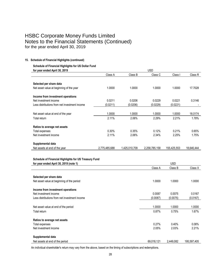### **15. Schedule of Financial Highlights (continued)**

#### **Schedule of Financial Highlights for US Dollar Fund for year ended April 30, 2019** USD

| for year ended April 30, 2019                 | บรม           |               |               |             |            |
|-----------------------------------------------|---------------|---------------|---------------|-------------|------------|
|                                               | Class A       | Class B       | Class C       | Class I     | Class R    |
|                                               |               |               |               |             |            |
| Selected per share data                       |               |               |               |             |            |
| Net asset value at beginning of the year      | 1.0000        | 1.0000        | 1.0000        | 1.0000      | 17.7028    |
| Income from investment operations             |               |               |               |             |            |
| Net investment income                         | 0.0211        | 0.0206        | 0.0229        | 0.0221      | 0.3146     |
| Less distributions from net investment income | (0.0211)      | (0.0206)      | (0.0229)      | (0.0221)    |            |
|                                               |               |               |               |             |            |
| Net asset value at end of the year            | 1.0000        | 1.0000        | 1.0000        | 1.0000      | 18.0174    |
| Total return                                  | 2.11%         | 2.06%         | 2.29%         | 2.21%       | 1.78%      |
| Ratios to average net assets                  |               |               |               |             |            |
| Total expenses                                | $0.30\%$      | 0.35%         | 0.12%         | 0.21%       | 0.65%      |
| Net investment income                         | 2.11%         | 2.06%         | 2.34%         | 2.25%       | 1.75%      |
| Supplemental data                             |               |               |               |             |            |
| Net assets at end of the year                 | 2,775,485,688 | 1,425,010,709 | 2,258,785,158 | 155,425,553 | 18,646,444 |

### **Schedule of Financial Highlights for US Treasury Fund**

| for year ended April 30, 2019 (note 1)        | USD        |           |             |
|-----------------------------------------------|------------|-----------|-------------|
|                                               | Class A    | Class B   | Class X     |
|                                               |            |           |             |
| Selected per share data                       |            |           |             |
| Net asset value at beginning of the period    | 1.0000     | 1.0000    | 1.0000      |
|                                               |            |           |             |
| Income from investment operations             |            |           |             |
| Net investment income                         | 0.0087     | 0.0075    | 0.0167      |
| Less distributions from net investment income | (0.0087)   | (0.0075)  | (0.0167)    |
|                                               |            |           |             |
| Net asset value at end of the period          | 1.0000     | 1.0000    | 1.0000      |
| Total return                                  | 0.87%      | 0.75%     | 1.67%       |
|                                               |            |           |             |
| Ratios to average net assets                  |            |           |             |
| Total expenses                                | 0.27%      | 0.40%     | 0.08%       |
| Net investment income                         | 2.05%      | 2.03%     | 2.21%       |
|                                               |            |           |             |
| Supplemental data                             |            |           |             |
| Net assets at end of the period               | 69,018,121 | 2,449,082 | 195,597,405 |

An individual shareholder's return may vary from the above, based on the timing of subscriptions and redemptions.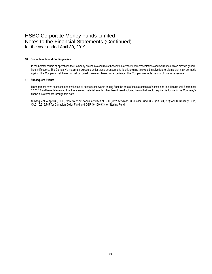#### **16. Commitments and Contingencies**

In the normal course of operations the Company enters into contracts that contain a variety of representations and warranties which provide general indemnifications. The Company's maximum exposure under these arrangements is unknown as this would involve future claims that may be made against the Company that have not yet occurred. However, based on experience, the Company expects the risk of loss to be remote.

#### **17. Subsequent Events**

Management have assessed and evaluated all subsequent events arising from the date of the statements of assets and liabilities up until September 27, 2019 and have determined that there are no material events other than those disclosed below that would require disclosure in the Company's financial statements through this date.

Subsequent to April 30, 2019, there were net capital activities of USD (72,255,276) for US Dollar Fund, USD (13,924,398) for US Treasury Fund, CAD 10,616,747 for Canadian Dollar Fund and GBP 46,159,943 for Sterling Fund.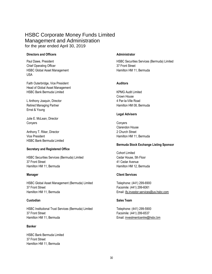### HSBC Corporate Money Funds Limited Management and Administration for the year ended April 30, 2019

### **Directors and Officers Administrator**

**Chief Operating Officer 37 Front Street** HSBC Global Asset Management **Hamilton HM 11, Bermuda** USA

Faith Outerbridge, Vice President **Auditors Auditors** Head of Global Asset Management HSBC Bank Bermuda Limited **KPMG** Audit Limited

L Anthony Joaquin, Director 4 Par-la-Ville Road Retired Managing Partner **Hamilton HM** 08, Bermuda Ernst & Young

Julie E. McLean, Director Conyers Conyers

Anthony T. Riker, Director 2 Church Street Vice President **Hamilton HM** 11, Bermuda **Hamilton HM** 11, Bermuda HSBC Bank Bermuda Limited

### **Secretary and Registered Office**

HSBC Securities Services (Bermuda) Limited Cedar House, 5th Floor 37 Front Street 41 Cedar Avenue Hamilton HM 11, Bermuda **Hamilton HM 12, Bermuda** Hamilton HM 12, Bermuda

HSBC Global Asset Management (Bermuda) Limited Telephone: (441) 299-6900 37 Front Street Facsimile: (441) 299-6061 Hamilton HM 11, Bermuda Email: ifs.investor.services@us.hsbc.com

HSBC Institutional Trust Services (Bermuda) Limited Telephone: (441) 299-5900 37 Front Street Facsimile: (441) 299-6537 Hamilton HM 11, Bermuda Email: investmentcentre@hsbc.bm

### **Banker**

HSBC Bank Bermuda Limited 37 Front Street Hamilton HM 11, Bermuda

Paul Dawe, President **HSBC Securities Services (Bermuda) Limited** HSBC Securities Services (Bermuda) Limited

Crown House

### **Legal Advisers**

Clarendon House

### **Bermuda Stock Exchange Listing Sponsor**

Cohort Limited

### **Manager Client Services**

### **Custodian Sales Team**